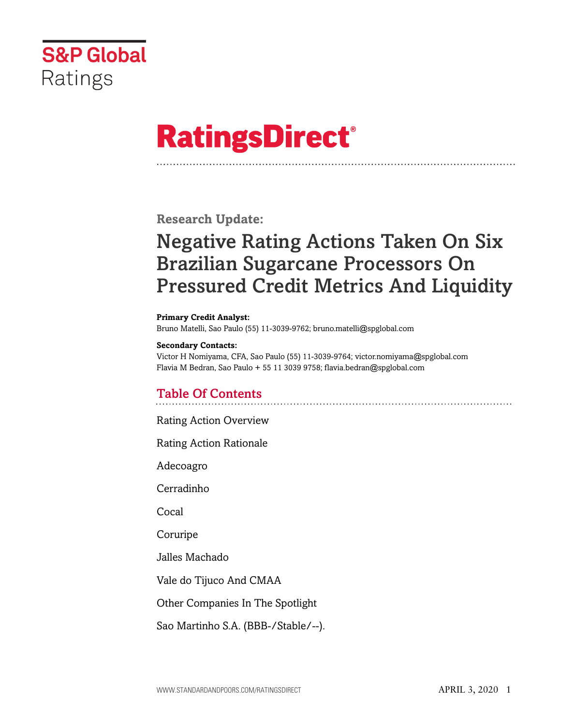

# **RatingsDirect®**

**Research Update:**

## Negative Rating Actions Taken On Six Brazilian Sugarcane Processors On Pressured Credit Metrics And Liquidity

**Primary Credit Analyst:**

Bruno Matelli, Sao Paulo (55) 11-3039-9762; bruno.matelli@spglobal.com

### **Secondary Contacts:**

Victor H Nomiyama, CFA, Sao Paulo (55) 11-3039-9764; victor.nomiyama@spglobal.com Flavia M Bedran, Sao Paulo + 55 11 3039 9758; flavia.bedran@spglobal.com

## Table Of Contents

[Rating Action Overview](#page-2-0)

[Rating Action Rationale](#page-4-0)

[Adecoagro](#page-4-1)

[Cerradinho](#page-5-0)

[Cocal](#page-6-0)

[Coruripe](#page-6-1)

[Jalles Machado](#page-7-0)

[Vale do Tijuco And CMAA](#page-8-0)

[Other Companies In The Spotlight](#page-9-0)

[Sao Martinho S.A. \(BBB-/Stable/--\).](#page-9-1)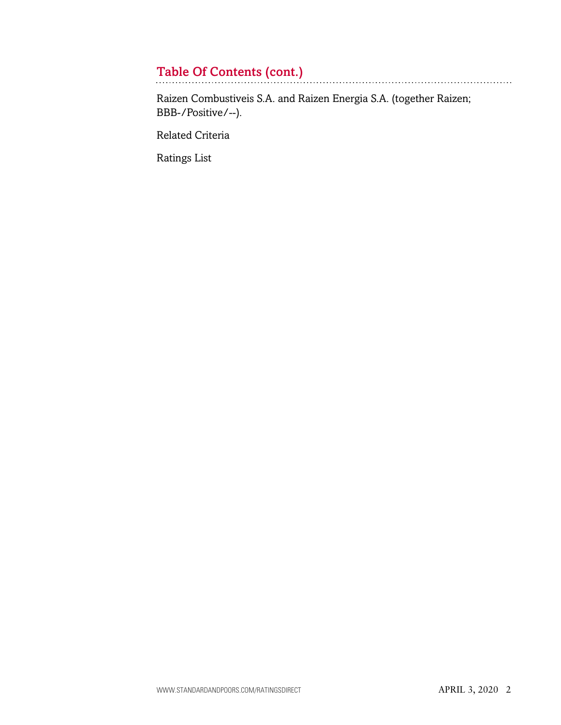## Table Of Contents (cont.)

[Raizen Combustiveis S.A. and Raizen Energia S.A. \(together Raizen;](#page-10-0) [BBB-/Positive/--\).](#page-10-0)

[Related Criteria](#page-10-1)

[Ratings List](#page-11-0)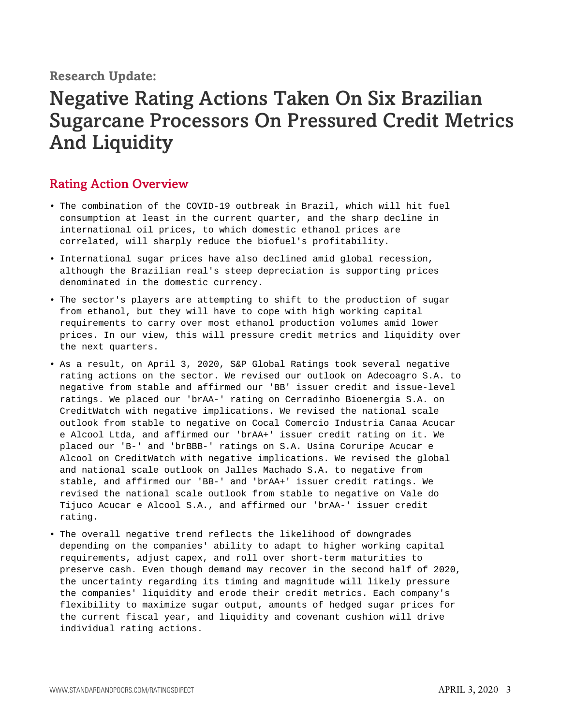## **Research Update:**

## Negative Rating Actions Taken On Six Brazilian Sugarcane Processors On Pressured Credit Metrics And Liquidity

## <span id="page-2-0"></span>Rating Action Overview

- The combination of the COVID-19 outbreak in Brazil, which will hit fuel consumption at least in the current quarter, and the sharp decline in international oil prices, to which domestic ethanol prices are correlated, will sharply reduce the biofuel's profitability.
- International sugar prices have also declined amid global recession, although the Brazilian real's steep depreciation is supporting prices denominated in the domestic currency.
- The sector's players are attempting to shift to the production of sugar from ethanol, but they will have to cope with high working capital requirements to carry over most ethanol production volumes amid lower prices. In our view, this will pressure credit metrics and liquidity over the next quarters.
- As a result, on April 3, 2020, S&P Global Ratings took several negative rating actions on the sector. We revised our outlook on Adecoagro S.A. to negative from stable and affirmed our 'BB' issuer credit and issue-level ratings. We placed our 'brAA-' rating on Cerradinho Bioenergia S.A. on CreditWatch with negative implications. We revised the national scale outlook from stable to negative on Cocal Comercio Industria Canaa Acucar e Alcool Ltda, and affirmed our 'brAA+' issuer credit rating on it. We placed our 'B-' and 'brBBB-' ratings on S.A. Usina Coruripe Acucar e Alcool on CreditWatch with negative implications. We revised the global and national scale outlook on Jalles Machado S.A. to negative from stable, and affirmed our 'BB-' and 'brAA+' issuer credit ratings. We revised the national scale outlook from stable to negative on Vale do Tijuco Acucar e Alcool S.A., and affirmed our 'brAA-' issuer credit rating.
- The overall negative trend reflects the likelihood of downgrades depending on the companies' ability to adapt to higher working capital requirements, adjust capex, and roll over short-term maturities to preserve cash. Even though demand may recover in the second half of 2020, the uncertainty regarding its timing and magnitude will likely pressure the companies' liquidity and erode their credit metrics. Each company's flexibility to maximize sugar output, amounts of hedged sugar prices for the current fiscal year, and liquidity and covenant cushion will drive individual rating actions.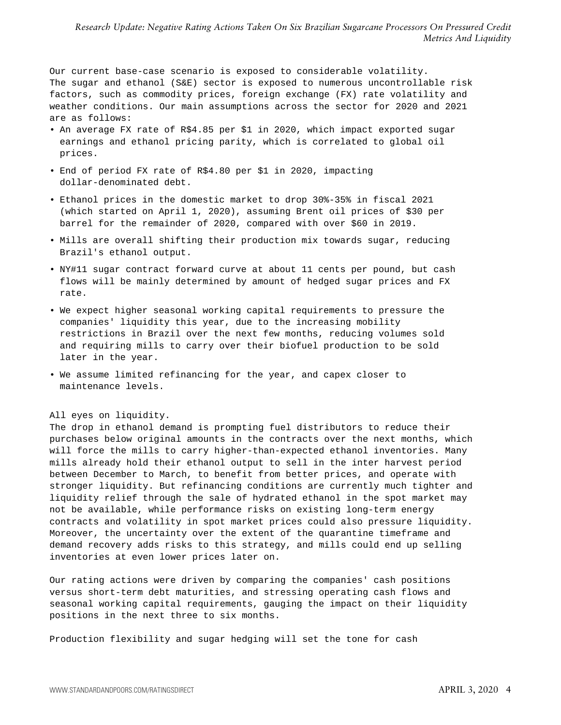Our current base-case scenario is exposed to considerable volatility. The sugar and ethanol (S&E) sector is exposed to numerous uncontrollable risk factors, such as commodity prices, foreign exchange (FX) rate volatility and weather conditions. Our main assumptions across the sector for 2020 and 2021 are as follows:

- An average FX rate of R\$4.85 per \$1 in 2020, which impact exported sugar earnings and ethanol pricing parity, which is correlated to global oil prices.
- End of period FX rate of R\$4.80 per \$1 in 2020, impacting dollar-denominated debt.
- Ethanol prices in the domestic market to drop 30%-35% in fiscal 2021 (which started on April 1, 2020), assuming Brent oil prices of \$30 per barrel for the remainder of 2020, compared with over \$60 in 2019.
- Mills are overall shifting their production mix towards sugar, reducing Brazil's ethanol output.
- NY#11 sugar contract forward curve at about 11 cents per pound, but cash flows will be mainly determined by amount of hedged sugar prices and FX rate.
- We expect higher seasonal working capital requirements to pressure the companies' liquidity this year, due to the increasing mobility restrictions in Brazil over the next few months, reducing volumes sold and requiring mills to carry over their biofuel production to be sold later in the year.
- We assume limited refinancing for the year, and capex closer to maintenance levels.

#### All eyes on liquidity.

The drop in ethanol demand is prompting fuel distributors to reduce their purchases below original amounts in the contracts over the next months, which will force the mills to carry higher-than-expected ethanol inventories. Many mills already hold their ethanol output to sell in the inter harvest period between December to March, to benefit from better prices, and operate with stronger liquidity. But refinancing conditions are currently much tighter and liquidity relief through the sale of hydrated ethanol in the spot market may not be available, while performance risks on existing long-term energy contracts and volatility in spot market prices could also pressure liquidity. Moreover, the uncertainty over the extent of the quarantine timeframe and demand recovery adds risks to this strategy, and mills could end up selling inventories at even lower prices later on.

Our rating actions were driven by comparing the companies' cash positions versus short-term debt maturities, and stressing operating cash flows and seasonal working capital requirements, gauging the impact on their liquidity positions in the next three to six months.

Production flexibility and sugar hedging will set the tone for cash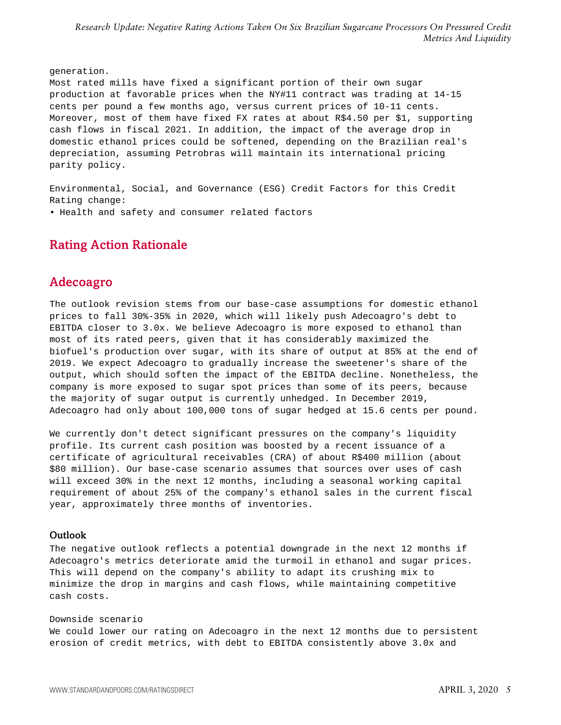generation. Most rated mills have fixed a significant portion of their own sugar production at favorable prices when the NY#11 contract was trading at 14-15 cents per pound a few months ago, versus current prices of 10-11 cents. Moreover, most of them have fixed FX rates at about R\$4.50 per \$1, supporting cash flows in fiscal 2021. In addition, the impact of the average drop in domestic ethanol prices could be softened, depending on the Brazilian real's depreciation, assuming Petrobras will maintain its international pricing parity policy.

Environmental, Social, and Governance (ESG) Credit Factors for this Credit Rating change:

<span id="page-4-0"></span>• Health and safety and consumer related factors

## <span id="page-4-1"></span>Rating Action Rationale

## Adecoagro

The outlook revision stems from our base-case assumptions for domestic ethanol prices to fall 30%-35% in 2020, which will likely push Adecoagro's debt to EBITDA closer to 3.0x. We believe Adecoagro is more exposed to ethanol than most of its rated peers, given that it has considerably maximized the biofuel's production over sugar, with its share of output at 85% at the end of 2019. We expect Adecoagro to gradually increase the sweetener's share of the output, which should soften the impact of the EBITDA decline. Nonetheless, the company is more exposed to sugar spot prices than some of its peers, because the majority of sugar output is currently unhedged. In December 2019, Adecoagro had only about 100,000 tons of sugar hedged at 15.6 cents per pound.

We currently don't detect significant pressures on the company's liquidity profile. Its current cash position was boosted by a recent issuance of a certificate of agricultural receivables (CRA) of about R\$400 million (about \$80 million). Our base-case scenario assumes that sources over uses of cash will exceed 30% in the next 12 months, including a seasonal working capital requirement of about 25% of the company's ethanol sales in the current fiscal year, approximately three months of inventories.

#### Outlook

The negative outlook reflects a potential downgrade in the next 12 months if Adecoagro's metrics deteriorate amid the turmoil in ethanol and sugar prices. This will depend on the company's ability to adapt its crushing mix to minimize the drop in margins and cash flows, while maintaining competitive cash costs.

Downside scenario We could lower our rating on Adecoagro in the next 12 months due to persistent erosion of credit metrics, with debt to EBITDA consistently above 3.0x and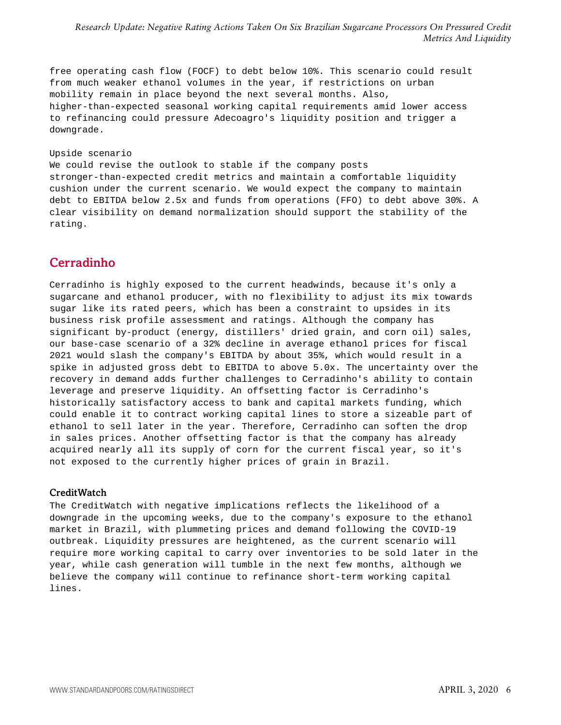free operating cash flow (FOCF) to debt below 10%. This scenario could result from much weaker ethanol volumes in the year, if restrictions on urban mobility remain in place beyond the next several months. Also, higher-than-expected seasonal working capital requirements amid lower access to refinancing could pressure Adecoagro's liquidity position and trigger a downgrade.

#### Upside scenario

We could revise the outlook to stable if the company posts stronger-than-expected credit metrics and maintain a comfortable liquidity cushion under the current scenario. We would expect the company to maintain debt to EBITDA below 2.5x and funds from operations (FFO) to debt above 30%. A clear visibility on demand normalization should support the stability of the rating.

## <span id="page-5-0"></span>Cerradinho

Cerradinho is highly exposed to the current headwinds, because it's only a sugarcane and ethanol producer, with no flexibility to adjust its mix towards sugar like its rated peers, which has been a constraint to upsides in its business risk profile assessment and ratings. Although the company has significant by-product (energy, distillers' dried grain, and corn oil) sales, our base-case scenario of a 32% decline in average ethanol prices for fiscal 2021 would slash the company's EBITDA by about 35%, which would result in a spike in adjusted gross debt to EBITDA to above 5.0x. The uncertainty over the recovery in demand adds further challenges to Cerradinho's ability to contain leverage and preserve liquidity. An offsetting factor is Cerradinho's historically satisfactory access to bank and capital markets funding, which could enable it to contract working capital lines to store a sizeable part of ethanol to sell later in the year. Therefore, Cerradinho can soften the drop in sales prices. Another offsetting factor is that the company has already acquired nearly all its supply of corn for the current fiscal year, so it's not exposed to the currently higher prices of grain in Brazil.

#### **CreditWatch**

The CreditWatch with negative implications reflects the likelihood of a downgrade in the upcoming weeks, due to the company's exposure to the ethanol market in Brazil, with plummeting prices and demand following the COVID-19 outbreak. Liquidity pressures are heightened, as the current scenario will require more working capital to carry over inventories to be sold later in the year, while cash generation will tumble in the next few months, although we believe the company will continue to refinance short-term working capital lines.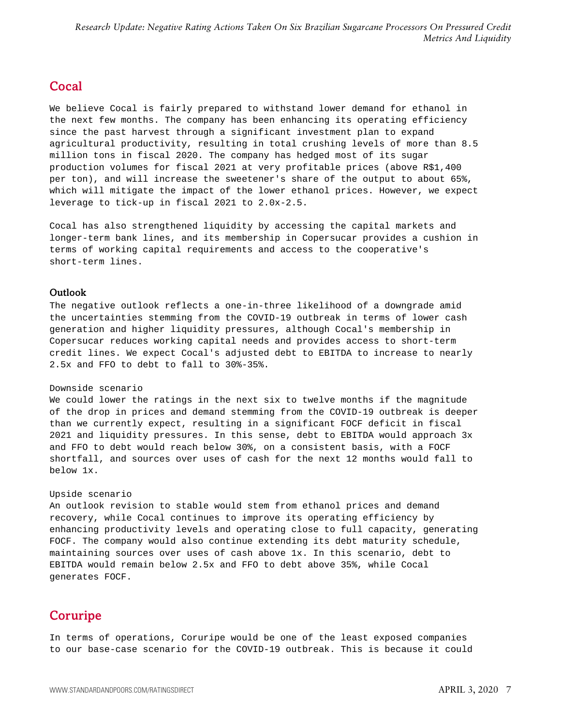## <span id="page-6-0"></span>Cocal

We believe Cocal is fairly prepared to withstand lower demand for ethanol in the next few months. The company has been enhancing its operating efficiency since the past harvest through a significant investment plan to expand agricultural productivity, resulting in total crushing levels of more than 8.5 million tons in fiscal 2020. The company has hedged most of its sugar production volumes for fiscal 2021 at very profitable prices (above R\$1,400 per ton), and will increase the sweetener's share of the output to about 65%, which will mitigate the impact of the lower ethanol prices. However, we expect leverage to tick-up in fiscal 2021 to 2.0x-2.5.

Cocal has also strengthened liquidity by accessing the capital markets and longer-term bank lines, and its membership in Copersucar provides a cushion in terms of working capital requirements and access to the cooperative's short-term lines.

### Outlook

The negative outlook reflects a one-in-three likelihood of a downgrade amid the uncertainties stemming from the COVID-19 outbreak in terms of lower cash generation and higher liquidity pressures, although Cocal's membership in Copersucar reduces working capital needs and provides access to short-term credit lines. We expect Cocal's adjusted debt to EBITDA to increase to nearly 2.5x and FFO to debt to fall to 30%-35%.

#### Downside scenario

We could lower the ratings in the next six to twelve months if the magnitude of the drop in prices and demand stemming from the COVID-19 outbreak is deeper than we currently expect, resulting in a significant FOCF deficit in fiscal 2021 and liquidity pressures. In this sense, debt to EBITDA would approach  $3x$ and FFO to debt would reach below 30%, on a consistent basis, with a FOCF shortfall, and sources over uses of cash for the next 12 months would fall to below 1x.

#### Upside scenario

An outlook revision to stable would stem from ethanol prices and demand recovery, while Cocal continues to improve its operating efficiency by enhancing productivity levels and operating close to full capacity, generating FOCF. The company would also continue extending its debt maturity schedule, maintaining sources over uses of cash above 1x. In this scenario, debt to EBITDA would remain below 2.5x and FFO to debt above 35%, while Cocal generates FOCF.

## <span id="page-6-1"></span>Coruripe

In terms of operations, Coruripe would be one of the least exposed companies to our base-case scenario for the COVID-19 outbreak. This is because it could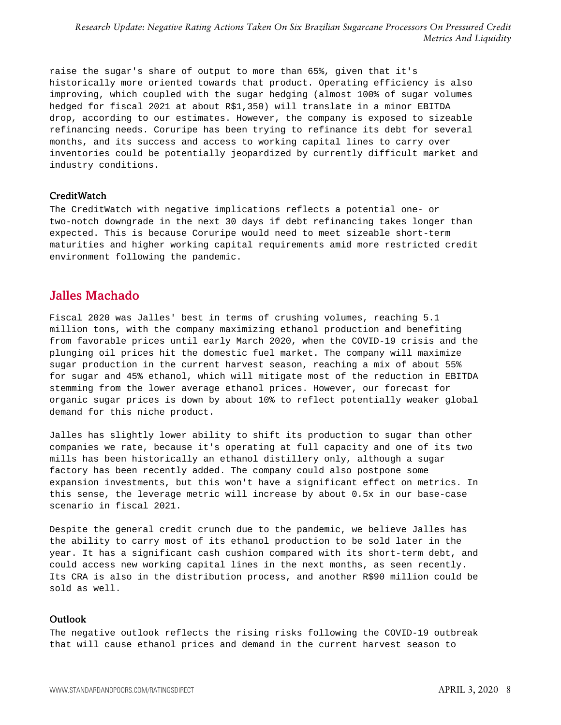raise the sugar's share of output to more than 65%, given that it's historically more oriented towards that product. Operating efficiency is also improving, which coupled with the sugar hedging (almost 100% of sugar volumes hedged for fiscal 2021 at about R\$1,350) will translate in a minor EBITDA drop, according to our estimates. However, the company is exposed to sizeable refinancing needs. Coruripe has been trying to refinance its debt for several months, and its success and access to working capital lines to carry over inventories could be potentially jeopardized by currently difficult market and industry conditions.

#### **CreditWatch**

The CreditWatch with negative implications reflects a potential one- or two-notch downgrade in the next 30 days if debt refinancing takes longer than expected. This is because Coruripe would need to meet sizeable short-term maturities and higher working capital requirements amid more restricted credit environment following the pandemic.

### <span id="page-7-0"></span>Jalles Machado

Fiscal 2020 was Jalles' best in terms of crushing volumes, reaching 5.1 million tons, with the company maximizing ethanol production and benefiting from favorable prices until early March 2020, when the COVID-19 crisis and the plunging oil prices hit the domestic fuel market. The company will maximize sugar production in the current harvest season, reaching a mix of about 55% for sugar and 45% ethanol, which will mitigate most of the reduction in EBITDA stemming from the lower average ethanol prices. However, our forecast for organic sugar prices is down by about 10% to reflect potentially weaker global demand for this niche product.

Jalles has slightly lower ability to shift its production to sugar than other companies we rate, because it's operating at full capacity and one of its two mills has been historically an ethanol distillery only, although a sugar factory has been recently added. The company could also postpone some expansion investments, but this won't have a significant effect on metrics. In this sense, the leverage metric will increase by about 0.5x in our base-case scenario in fiscal 2021.

Despite the general credit crunch due to the pandemic, we believe Jalles has the ability to carry most of its ethanol production to be sold later in the year. It has a significant cash cushion compared with its short-term debt, and could access new working capital lines in the next months, as seen recently. Its CRA is also in the distribution process, and another R\$90 million could be sold as well.

#### Outlook

The negative outlook reflects the rising risks following the COVID-19 outbreak that will cause ethanol prices and demand in the current harvest season to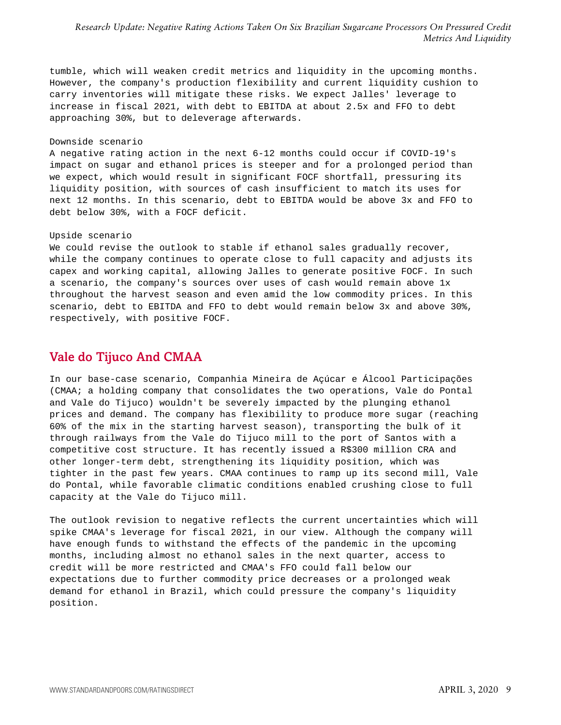tumble, which will weaken credit metrics and liquidity in the upcoming months. However, the company's production flexibility and current liquidity cushion to carry inventories will mitigate these risks. We expect Jalles' leverage to increase in fiscal 2021, with debt to EBITDA at about 2.5x and FFO to debt approaching 30%, but to deleverage afterwards.

#### Downside scenario

A negative rating action in the next 6-12 months could occur if COVID-19's impact on sugar and ethanol prices is steeper and for a prolonged period than we expect, which would result in significant FOCF shortfall, pressuring its liquidity position, with sources of cash insufficient to match its uses for next 12 months. In this scenario, debt to EBITDA would be above 3x and FFO to debt below 30%, with a FOCF deficit.

#### Upside scenario

We could revise the outlook to stable if ethanol sales gradually recover, while the company continues to operate close to full capacity and adjusts its capex and working capital, allowing Jalles to generate positive FOCF. In such a scenario, the company's sources over uses of cash would remain above 1x throughout the harvest season and even amid the low commodity prices. In this scenario, debt to EBITDA and FFO to debt would remain below 3x and above 30%, respectively, with positive FOCF.

### <span id="page-8-0"></span>Vale do Tijuco And CMAA

In our base-case scenario, Companhia Mineira de Açúcar e Álcool Participações (CMAA; a holding company that consolidates the two operations, Vale do Pontal and Vale do Tijuco) wouldn't be severely impacted by the plunging ethanol prices and demand. The company has flexibility to produce more sugar (reaching 60% of the mix in the starting harvest season), transporting the bulk of it through railways from the Vale do Tijuco mill to the port of Santos with a competitive cost structure. It has recently issued a R\$300 million CRA and other longer-term debt, strengthening its liquidity position, which was tighter in the past few years. CMAA continues to ramp up its second mill, Vale do Pontal, while favorable climatic conditions enabled crushing close to full capacity at the Vale do Tijuco mill.

The outlook revision to negative reflects the current uncertainties which will spike CMAA's leverage for fiscal 2021, in our view. Although the company will have enough funds to withstand the effects of the pandemic in the upcoming months, including almost no ethanol sales in the next quarter, access to credit will be more restricted and CMAA's FFO could fall below our expectations due to further commodity price decreases or a prolonged weak demand for ethanol in Brazil, which could pressure the company's liquidity position.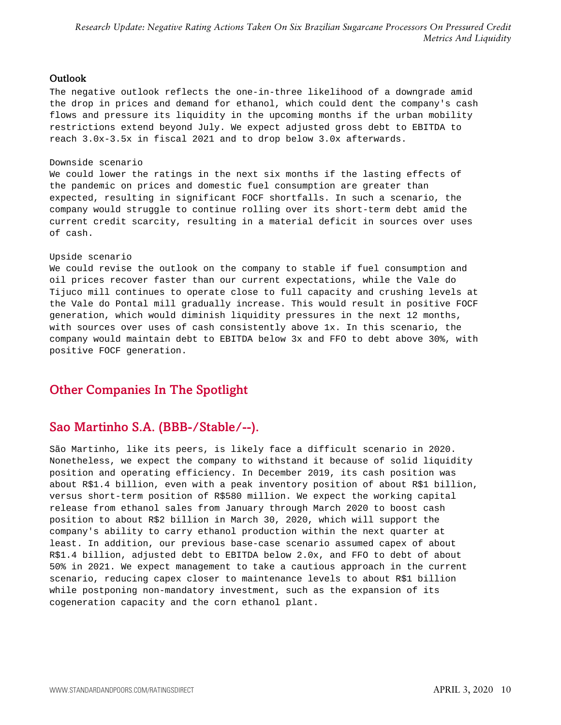#### Outlook

The negative outlook reflects the one-in-three likelihood of a downgrade amid the drop in prices and demand for ethanol, which could dent the company's cash flows and pressure its liquidity in the upcoming months if the urban mobility restrictions extend beyond July. We expect adjusted gross debt to EBITDA to reach 3.0x-3.5x in fiscal 2021 and to drop below 3.0x afterwards.

#### Downside scenario

We could lower the ratings in the next six months if the lasting effects of the pandemic on prices and domestic fuel consumption are greater than expected, resulting in significant FOCF shortfalls. In such a scenario, the company would struggle to continue rolling over its short-term debt amid the current credit scarcity, resulting in a material deficit in sources over uses of cash.

#### Upside scenario

We could revise the outlook on the company to stable if fuel consumption and oil prices recover faster than our current expectations, while the Vale do Tijuco mill continues to operate close to full capacity and crushing levels at the Vale do Pontal mill gradually increase. This would result in positive FOCF generation, which would diminish liquidity pressures in the next 12 months, with sources over uses of cash consistently above 1x. In this scenario, the company would maintain debt to EBITDA below 3x and FFO to debt above 30%, with positive FOCF generation.

## <span id="page-9-1"></span><span id="page-9-0"></span>Other Companies In The Spotlight

## Sao Martinho S.A. (BBB-/Stable/--).

São Martinho, like its peers, is likely face a difficult scenario in 2020. Nonetheless, we expect the company to withstand it because of solid liquidity position and operating efficiency. In December 2019, its cash position was about R\$1.4 billion, even with a peak inventory position of about R\$1 billion, versus short-term position of R\$580 million. We expect the working capital release from ethanol sales from January through March 2020 to boost cash position to about R\$2 billion in March 30, 2020, which will support the company's ability to carry ethanol production within the next quarter at least. In addition, our previous base-case scenario assumed capex of about R\$1.4 billion, adjusted debt to EBITDA below 2.0x, and FFO to debt of about 50% in 2021. We expect management to take a cautious approach in the current scenario, reducing capex closer to maintenance levels to about R\$1 billion while postponing non-mandatory investment, such as the expansion of its cogeneration capacity and the corn ethanol plant.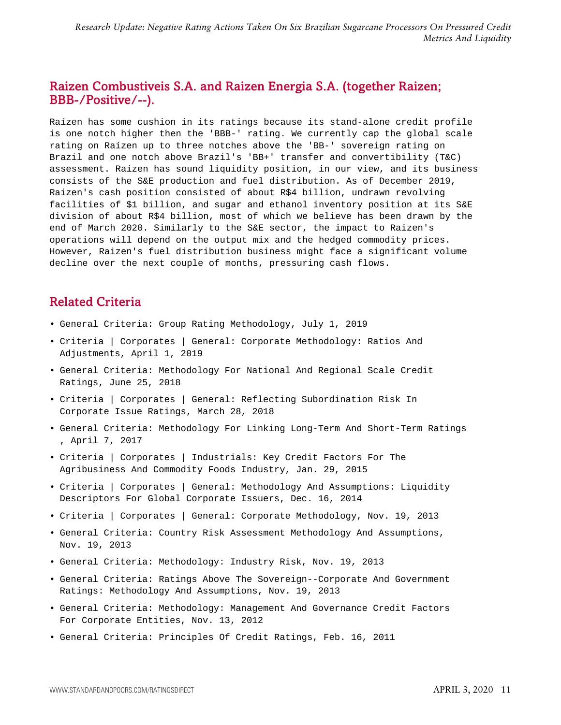## <span id="page-10-0"></span>Raizen Combustiveis S.A. and Raizen Energia S.A. (together Raizen; BBB-/Positive/--).

Raízen has some cushion in its ratings because its stand-alone credit profile is one notch higher then the 'BBB-' rating. We currently cap the global scale rating on Raízen up to three notches above the 'BB-' sovereign rating on Brazil and one notch above Brazil's 'BB+' transfer and convertibility (T&C) assessment. Raízen has sound liquidity position, in our view, and its business consists of the S&E production and fuel distribution. As of December 2019, Raizen's cash position consisted of about R\$4 billion, undrawn revolving facilities of \$1 billion, and sugar and ethanol inventory position at its S&E division of about R\$4 billion, most of which we believe has been drawn by the end of March 2020. Similarly to the S&E sector, the impact to Raizen's operations will depend on the output mix and the hedged commodity prices. However, Raizen's fuel distribution business might face a significant volume decline over the next couple of months, pressuring cash flows.

## <span id="page-10-1"></span>Related Criteria

- General Criteria: Group Rating Methodology, July 1, 2019
- Criteria | Corporates | General: Corporate Methodology: Ratios And Adjustments, April 1, 2019
- General Criteria: Methodology For National And Regional Scale Credit Ratings, June 25, 2018
- Criteria | Corporates | General: Reflecting Subordination Risk In Corporate Issue Ratings, March 28, 2018
- General Criteria: Methodology For Linking Long-Term And Short-Term Ratings , April 7, 2017
- Criteria | Corporates | Industrials: Key Credit Factors For The Agribusiness And Commodity Foods Industry, Jan. 29, 2015
- Criteria | Corporates | General: Methodology And Assumptions: Liquidity Descriptors For Global Corporate Issuers, Dec. 16, 2014
- Criteria | Corporates | General: Corporate Methodology, Nov. 19, 2013
- General Criteria: Country Risk Assessment Methodology And Assumptions, Nov. 19, 2013
- General Criteria: Methodology: Industry Risk, Nov. 19, 2013
- General Criteria: Ratings Above The Sovereign--Corporate And Government Ratings: Methodology And Assumptions, Nov. 19, 2013
- General Criteria: Methodology: Management And Governance Credit Factors For Corporate Entities, Nov. 13, 2012
- General Criteria: Principles Of Credit Ratings, Feb. 16, 2011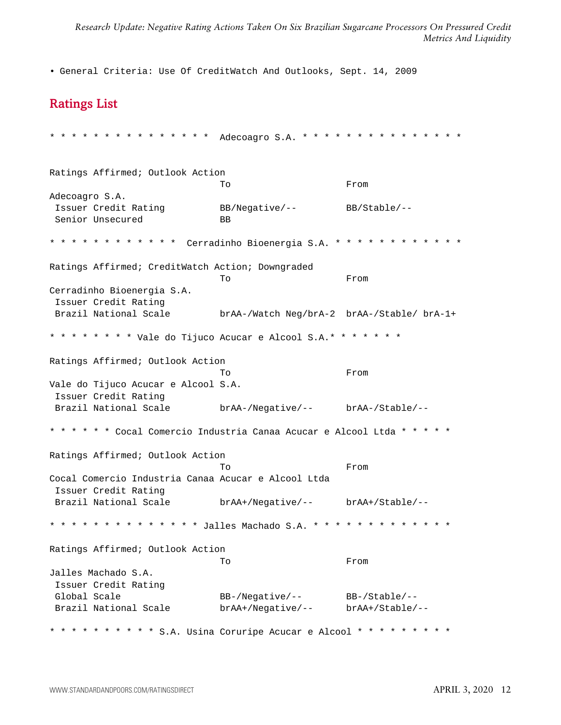<span id="page-11-0"></span>• General Criteria: Use Of CreditWatch And Outlooks, Sept. 14, 2009

## Ratings List

```
* * * * * * * * * * * * * * * Adecoagro S.A. * * * * * * * * * * * * * * *
Ratings Affirmed; Outlook Action
                         To From
Adecoagro S.A.
Issuer Credit Rating BB/Negative/-- BB/Stable/--
Senior Unsecured BB
* * * * * * * * * * * * Cerradinho Bioenergia S.A. * * * * * * * * * * * *
Ratings Affirmed; CreditWatch Action; Downgraded
                          To From
Cerradinho Bioenergia S.A.
Issuer Credit Rating
Brazil National Scale brAA-/Watch Neg/brA-2 brAA-/Stable/ brA-1+
* * * * * * * * Vale do Tijuco Acucar e Alcool S.A.* * * * * * *
Ratings Affirmed; Outlook Action
                          To From
Vale do Tijuco Acucar e Alcool S.A.
Issuer Credit Rating
Brazil National Scale brAA-/Negative/-- brAA-/Stable/--
* * * * * * Cocal Comercio Industria Canaa Acucar e Alcool Ltda * * * * *
Ratings Affirmed; Outlook Action
                          To From
Cocal Comercio Industria Canaa Acucar e Alcool Ltda
Issuer Credit Rating
Brazil National Scale brAA+/Negative/-- brAA+/Stable/--
* * * * * * * * * * * * * * Jalles Machado S.A. * * * * * * * * * * * * *
Ratings Affirmed; Outlook Action
                         To From
Jalles Machado S.A.
Issuer Credit Rating
Global Scale BB-/Negative/-- BB-/Stable/--
Brazil National Scale brAA+/Negative/-- brAA+/Stable/--
* * * * * * * * * * S.A. Usina Coruripe Acucar e Alcool * * * * * * * * *
```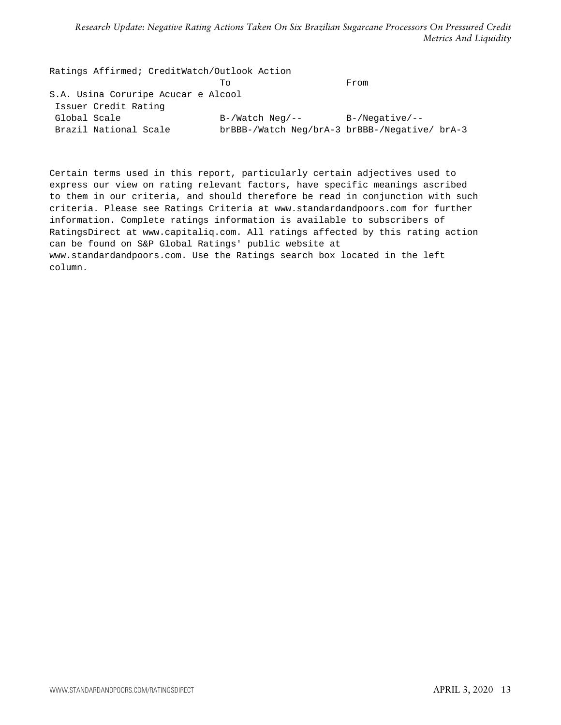Ratings Affirmed; CreditWatch/Outlook Action To From S.A. Usina Coruripe Acucar e Alcool Issuer Credit Rating Global Scale  $B-/\text{Watch}$  Neg/-- B-/Negative/--Brazil National Scale brBBB-/Watch Neg/brA-3 brBBB-/Negative/ brA-3

Certain terms used in this report, particularly certain adjectives used to express our view on rating relevant factors, have specific meanings ascribed to them in our criteria, and should therefore be read in conjunction with such criteria. Please see Ratings Criteria at www.standardandpoors.com for further information. Complete ratings information is available to subscribers of RatingsDirect at www.capitaliq.com. All ratings affected by this rating action can be found on S&P Global Ratings' public website at www.standardandpoors.com. Use the Ratings search box located in the left column.